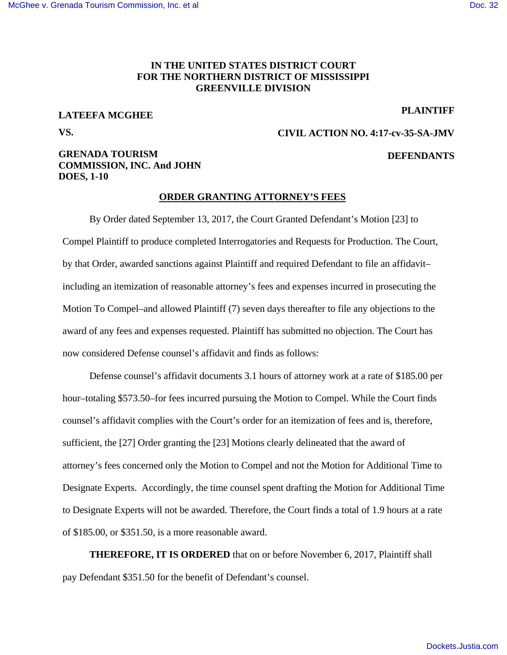#### **IN THE UNITED STATES DISTRICT COURT FOR THE NORTHERN DISTRICT OF MISSISSIPPI GREENVILLE DIVISION**

# **LATEEFA MCGHEE VS.**

#### **PLAINTIFF**

**DEFENDANTS**

## **CIVIL ACTION NO. 4:17-cv-35-SA-JMV**

## **GRENADA TOURISM COMMISSION, INC. And JOHN DOES, 1-10**

#### **ORDER GRANTING ATTORNEY'S FEES**

 By Order dated September 13, 2017, the Court Granted Defendant's Motion [23] to Compel Plaintiff to produce completed Interrogatories and Requests for Production. The Court, by that Order, awarded sanctions against Plaintiff and required Defendant to file an affidavit– including an itemization of reasonable attorney's fees and expenses incurred in prosecuting the Motion To Compel–and allowed Plaintiff (7) seven days thereafter to file any objections to the award of any fees and expenses requested. Plaintiff has submitted no objection. The Court has now considered Defense counsel's affidavit and finds as follows:

 Defense counsel's affidavit documents 3.1 hours of attorney work at a rate of \$185.00 per hour–totaling \$573.50–for fees incurred pursuing the Motion to Compel. While the Court finds counsel's affidavit complies with the Court's order for an itemization of fees and is, therefore, sufficient, the [27] Order granting the [23] Motions clearly delineated that the award of attorney's fees concerned only the Motion to Compel and not the Motion for Additional Time to Designate Experts. Accordingly, the time counsel spent drafting the Motion for Additional Time to Designate Experts will not be awarded. Therefore, the Court finds a total of 1.9 hours at a rate of \$185.00, or \$351.50, is a more reasonable award.

**THEREFORE, IT IS ORDERED** that on or before November 6, 2017, Plaintiff shall pay Defendant \$351.50 for the benefit of Defendant's counsel.